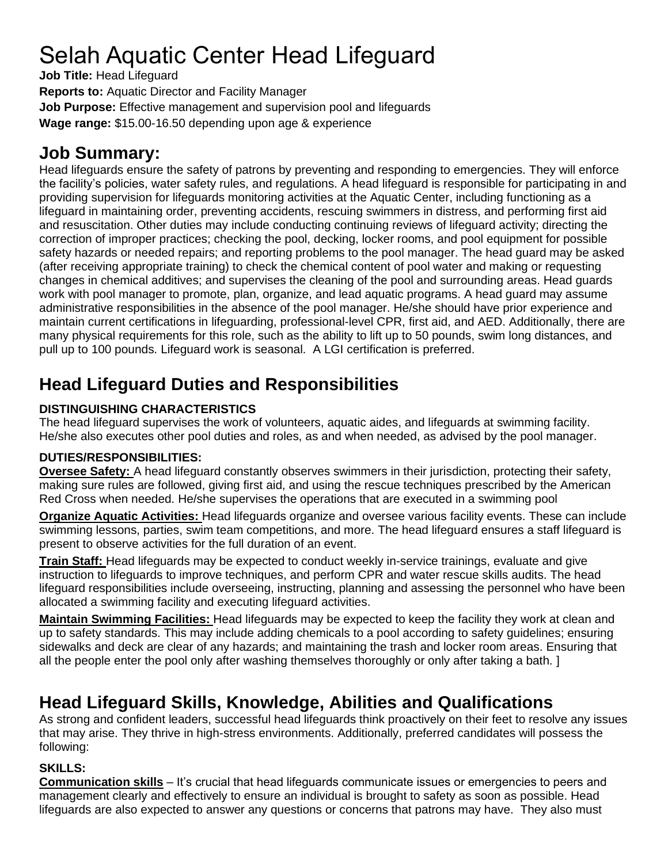# Selah Aquatic Center Head Lifeguard

**Job Title:** Head Lifeguard

**Reports to:** Aquatic Director and Facility Manager

**Job Purpose:** Effective management and supervision pool and lifeguards

**Wage range:** \$15.00-16.50 depending upon age & experience

### **Job Summary:**

Head lifeguards ensure the safety of patrons by preventing and responding to emergencies. They will enforce the facility's policies, water safety rules, and regulations. A head lifeguard is responsible for participating in and providing supervision for lifeguards monitoring activities at the Aquatic Center, including functioning as a lifeguard in maintaining order, preventing accidents, rescuing swimmers in distress, and performing first aid and resuscitation. Other duties may include conducting continuing reviews of lifeguard activity; directing the correction of improper practices; checking the pool, decking, locker rooms, and pool equipment for possible safety hazards or needed repairs; and reporting problems to the pool manager. The head guard may be asked (after receiving appropriate training) to check the chemical content of pool water and making or requesting changes in chemical additives; and supervises the cleaning of the pool and surrounding areas. Head guards work with pool manager to promote, plan, organize, and lead aquatic programs. A head guard may assume administrative responsibilities in the absence of the pool manager. He/she should have prior experience and maintain current certifications in lifeguarding, professional-level CPR, first aid, and AED. Additionally, there are many physical requirements for this role, such as the ability to lift up to 50 pounds, swim long distances, and pull up to 100 pounds. Lifeguard work is seasonal. A LGI certification is preferred.

# **Head Lifeguard Duties and Responsibilities**

### **DISTINGUISHING CHARACTERISTICS**

The head lifeguard supervises the work of volunteers, aquatic aides, and lifeguards at swimming facility. He/she also executes other pool duties and roles, as and when needed, as advised by the pool manager.

### **DUTIES/RESPONSIBILITIES:**

**Oversee Safety:** A head lifeguard constantly observes swimmers in their jurisdiction, protecting their safety, making sure rules are followed, giving first aid, and using the rescue techniques prescribed by the American Red Cross when needed. He/she supervises the operations that are executed in a swimming pool

**Organize Aquatic Activities:** Head lifeguards organize and oversee various facility events. These can include swimming lessons, parties, swim team competitions, and more. The head lifeguard ensures a staff lifeguard is present to observe activities for the full duration of an event.

**Train Staff:** Head lifeguards may be expected to conduct weekly in-service trainings, evaluate and give instruction to lifeguards to improve techniques, and perform CPR and water rescue skills audits. The head lifeguard responsibilities include overseeing, instructing, planning and assessing the personnel who have been allocated a swimming facility and executing lifeguard activities.

**Maintain Swimming Facilities:** Head lifeguards may be expected to keep the facility they work at clean and up to safety standards. This may include adding chemicals to a pool according to safety guidelines; ensuring sidewalks and deck are clear of any hazards; and maintaining the trash and locker room areas. Ensuring that all the people enter the pool only after washing themselves thoroughly or only after taking a bath. ]

## **Head Lifeguard Skills, Knowledge, Abilities and Qualifications**

As strong and confident leaders, successful head lifeguards think proactively on their feet to resolve any issues that may arise. They thrive in high-stress environments. Additionally, preferred candidates will possess the following:

#### **SKILLS:**

**Communication skills** – It's crucial that head lifeguards communicate issues or emergencies to peers and management clearly and effectively to ensure an individual is brought to safety as soon as possible. Head lifeguards are also expected to answer any questions or concerns that patrons may have. They also must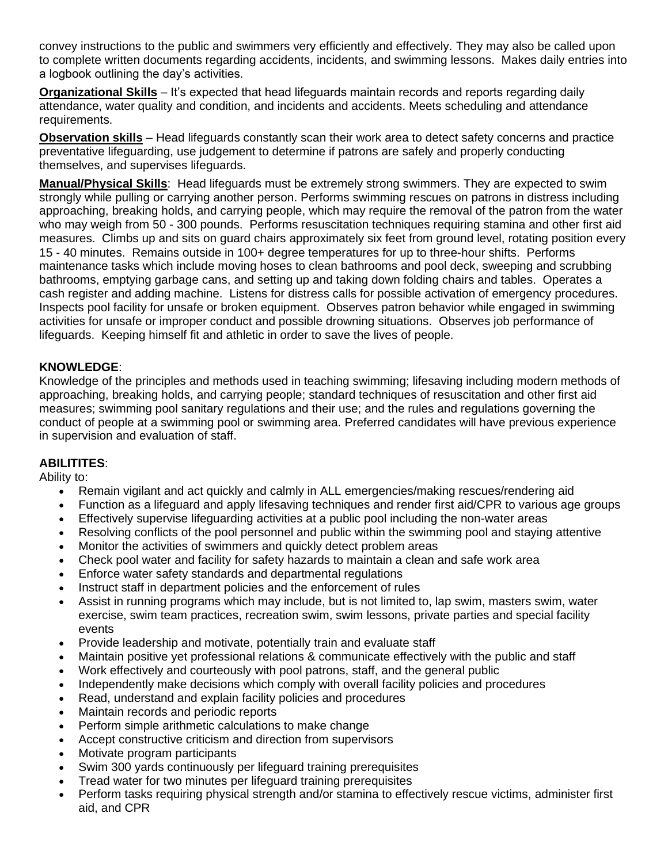convey instructions to the public and swimmers very efficiently and effectively. They may also be called upon to complete written documents regarding accidents, incidents, and swimming lessons. Makes daily entries into a logbook outlining the day's activities.

**Organizational Skills** – It's expected that head lifeguards maintain records and reports regarding daily attendance, water quality and condition, and incidents and accidents. Meets scheduling and attendance requirements.

**Observation skills** – Head lifeguards constantly scan their work area to detect safety concerns and practice preventative lifeguarding, use judgement to determine if patrons are safely and properly conducting themselves, and supervises lifeguards.

**Manual/Physical Skills**: Head lifeguards must be extremely strong swimmers. They are expected to swim strongly while pulling or carrying another person. Performs swimming rescues on patrons in distress including approaching, breaking holds, and carrying people, which may require the removal of the patron from the water who may weigh from 50 - 300 pounds. Performs resuscitation techniques requiring stamina and other first aid measures. Climbs up and sits on guard chairs approximately six feet from ground level, rotating position every 15 - 40 minutes. Remains outside in 100+ degree temperatures for up to three-hour shifts. Performs maintenance tasks which include moving hoses to clean bathrooms and pool deck, sweeping and scrubbing bathrooms, emptying garbage cans, and setting up and taking down folding chairs and tables. Operates a cash register and adding machine. Listens for distress calls for possible activation of emergency procedures. Inspects pool facility for unsafe or broken equipment. Observes patron behavior while engaged in swimming activities for unsafe or improper conduct and possible drowning situations. Observes job performance of lifeguards. Keeping himself fit and athletic in order to save the lives of people.

#### **KNOWLEDGE**:

Knowledge of the principles and methods used in teaching swimming; lifesaving including modern methods of approaching, breaking holds, and carrying people; standard techniques of resuscitation and other first aid measures; swimming pool sanitary regulations and their use; and the rules and regulations governing the conduct of people at a swimming pool or swimming area. Preferred candidates will have previous experience in supervision and evaluation of staff.

#### **ABILITITES**:

Ability to:

- Remain vigilant and act quickly and calmly in ALL emergencies/making rescues/rendering aid
- Function as a lifeguard and apply lifesaving techniques and render first aid/CPR to various age groups
- Effectively supervise lifeguarding activities at a public pool including the non-water areas
- Resolving conflicts of the pool personnel and public within the swimming pool and staying attentive
- Monitor the activities of swimmers and quickly detect problem areas
- Check pool water and facility for safety hazards to maintain a clean and safe work area
- Enforce water safety standards and departmental regulations
- Instruct staff in department policies and the enforcement of rules
- Assist in running programs which may include, but is not limited to, lap swim, masters swim, water exercise, swim team practices, recreation swim, swim lessons, private parties and special facility events
- Provide leadership and motivate, potentially train and evaluate staff
- Maintain positive yet professional relations & communicate effectively with the public and staff
- Work effectively and courteously with pool patrons, staff, and the general public
- Independently make decisions which comply with overall facility policies and procedures
- Read, understand and explain facility policies and procedures
- Maintain records and periodic reports
- Perform simple arithmetic calculations to make change
- Accept constructive criticism and direction from supervisors
- Motivate program participants
- Swim 300 yards continuously per lifeguard training prerequisites
- Tread water for two minutes per lifeguard training prerequisites
- Perform tasks requiring physical strength and/or stamina to effectively rescue victims, administer first aid, and CPR